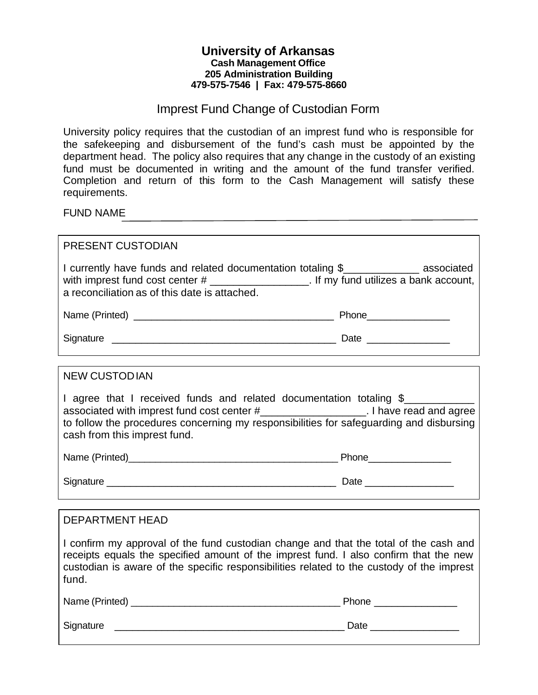## **University of Arkansas Cash Management Office 205 Administration Building 479-575-7546 | Fax: 479-575-8660**

## Imprest Fund Change of Custodian Form

University policy requires that the custodian of an imprest fund who is responsible for the safekeeping and disbursement of the fund's cash must be appointed by the department head. The policy also requires that any change in the custody of an existing fund must be documented in writing and the amount of the fund transfer verified. Completion and return of this form to the Cash Management will satisfy these requirements.

FUND NAME

| <b>PRESENT CUSTODIAN</b>                                                                                                                                                                                                                                                                 |  |
|------------------------------------------------------------------------------------------------------------------------------------------------------------------------------------------------------------------------------------------------------------------------------------------|--|
| I currently have funds and related documentation totaling \$______________ associated<br>with imprest fund cost center $\#$ ____________________. If my fund utilizes $\overline{a}$ bank account,<br>a reconciliation as of this date is attached.                                      |  |
|                                                                                                                                                                                                                                                                                          |  |
|                                                                                                                                                                                                                                                                                          |  |
| <b>NEW CUSTODIAN</b>                                                                                                                                                                                                                                                                     |  |
| I agree that I received funds and related documentation totaling \$<br>associated with imprest fund cost center #_____________________. I have read and agree<br>to follow the procedures concerning my responsibilities for safeguarding and disbursing<br>cash from this imprest fund. |  |
|                                                                                                                                                                                                                                                                                          |  |
|                                                                                                                                                                                                                                                                                          |  |
|                                                                                                                                                                                                                                                                                          |  |
| <b>DEPARTMENT HEAD</b>                                                                                                                                                                                                                                                                   |  |
| I confirm my approval of the fund custodian change and that the total of the cash and<br>receipts equals the specified amount of the imprest fund. I also confirm that the new<br>custodian is aware of the specific responsibilities related to the custody of the imprest<br>fund.     |  |
|                                                                                                                                                                                                                                                                                          |  |
|                                                                                                                                                                                                                                                                                          |  |